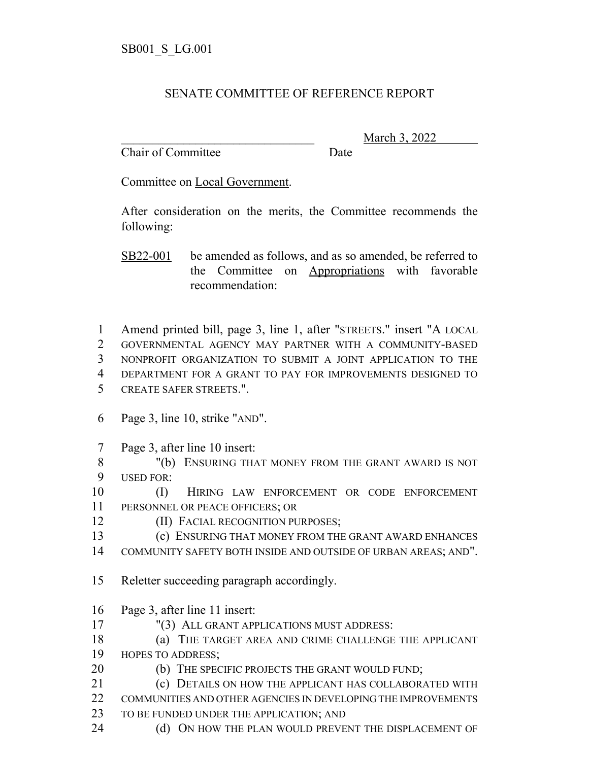## SENATE COMMITTEE OF REFERENCE REPORT

Chair of Committee Date

\_\_\_\_\_\_\_\_\_\_\_\_\_\_\_\_\_\_\_\_\_\_\_\_\_\_\_\_\_\_\_ March 3, 2022

Committee on Local Government.

After consideration on the merits, the Committee recommends the following:

SB22-001 be amended as follows, and as so amended, be referred to the Committee on Appropriations with favorable recommendation:

 Amend printed bill, page 3, line 1, after "STREETS." insert "A LOCAL GOVERNMENTAL AGENCY MAY PARTNER WITH A COMMUNITY-BASED NONPROFIT ORGANIZATION TO SUBMIT A JOINT APPLICATION TO THE DEPARTMENT FOR A GRANT TO PAY FOR IMPROVEMENTS DESIGNED TO CREATE SAFER STREETS.".

- 6 Page 3, line 10, strike "AND".
- 7 Page 3, after line 10 insert:
- 8 "(b) ENSURING THAT MONEY FROM THE GRANT AWARD IS NOT 9 USED FOR:

10 (I) HIRING LAW ENFORCEMENT OR CODE ENFORCEMENT 11 PERSONNEL OR PEACE OFFICERS; OR

12 **(II) FACIAL RECOGNITION PURPOSES;** 

- 13 (c) ENSURING THAT MONEY FROM THE GRANT AWARD ENHANCES
- 14 COMMUNITY SAFETY BOTH INSIDE AND OUTSIDE OF URBAN AREAS; AND".
- 15 Reletter succeeding paragraph accordingly.
- 16 Page 3, after line 11 insert:
- 17 "(3) ALL GRANT APPLICATIONS MUST ADDRESS:
- 18 (a) THE TARGET AREA AND CRIME CHALLENGE THE APPLICANT
- 19 HOPES TO ADDRESS;
- 20 (b) THE SPECIFIC PROJECTS THE GRANT WOULD FUND;
- 21 (c) DETAILS ON HOW THE APPLICANT HAS COLLABORATED WITH 22 COMMUNITIES AND OTHER AGENCIES IN DEVELOPING THE IMPROVEMENTS
- 23 TO BE FUNDED UNDER THE APPLICATION; AND
- 24 (d) ON HOW THE PLAN WOULD PREVENT THE DISPLACEMENT OF